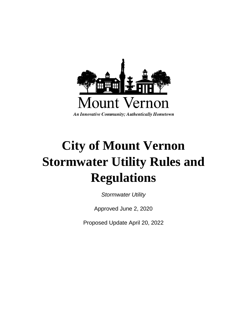

# **City of Mount Vernon Stormwater Utility Rules and Regulations**

*Stormwater Utility*

Approved June 2, 2020

Proposed Update April 20, 2022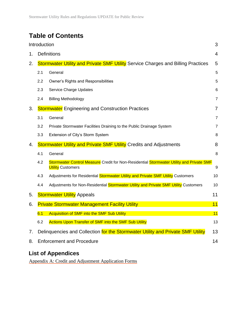## **Table of Contents**

|    | Introduction<br>3                                                                       |                                                                                                                      |                |
|----|-----------------------------------------------------------------------------------------|----------------------------------------------------------------------------------------------------------------------|----------------|
| 1. | <b>Definitions</b>                                                                      |                                                                                                                      | $\overline{4}$ |
| 2. | <b>Stormwater Utility and Private SMF Utility</b> Service Charges and Billing Practices |                                                                                                                      | 5              |
|    | 2.1                                                                                     | General                                                                                                              | 5              |
|    | $2.2\,$                                                                                 | Owner's Rights and Responsibilities                                                                                  | 5              |
|    | 2.3                                                                                     | Service Charge Updates                                                                                               | 6              |
|    | 2.4                                                                                     | <b>Billing Methodology</b>                                                                                           | 7              |
| 3. | <b>Stormwater</b> Engineering and Construction Practices                                |                                                                                                                      | $\overline{7}$ |
|    | 3.1                                                                                     | General                                                                                                              | $\overline{7}$ |
|    | 3.2                                                                                     | Private Stormwater Facilities Draining to the Public Drainage System                                                 | $\overline{7}$ |
|    | 3.3                                                                                     | Extension of City's Storm System                                                                                     | 8              |
| 4. | <b>Stormwater Utility and Private SMF Utility Credits and Adjustments</b>               |                                                                                                                      | 8              |
|    | 4.1                                                                                     | General                                                                                                              | 8              |
|    | 4.2                                                                                     | Stormwater Control Measure Credit for Non-Residential Stormwater Utility and Private SMF<br><b>Utility Customers</b> | 9              |
|    | 4.3                                                                                     | Adjustments for Residential Stormwater Utility and Private SMF Utility Customers                                     | 10             |
|    | 4.4                                                                                     | Adjustments for Non-Residential Stormwater Utility and Private SMF Utility Customers                                 | 10             |
| 5. | <b>Stormwater Utility Appeals</b><br>11                                                 |                                                                                                                      |                |
| 6. | 11<br><b>Private Stormwater Management Facility Utility</b>                             |                                                                                                                      |                |
|    | 6.1                                                                                     | Acquisition of SMF into the SMF Sub Utility                                                                          | 11             |
|    | 6.2                                                                                     | <b>Actions Upon Transfer of SMF into the SMF Sub Utility</b>                                                         | 13             |
| 7. |                                                                                         | Delinguencies and Collection for the Stormwater Utility and Private SMF Utility                                      | 13             |
| 8. | <b>Enforcement and Procedure</b>                                                        |                                                                                                                      |                |
|    |                                                                                         |                                                                                                                      |                |

### **List of Appendices**

Appendix A: Credit and Adjustment Application Forms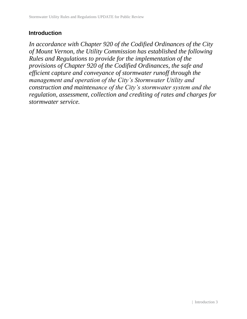#### **Introduction**

*In accordance with Chapter 920 of the Codified Ordinances of the City of Mount Vernon, the Utility Commission has established the following Rules and Regulations to provide for the implementation of the provisions of Chapter 920 of the Codified Ordinances, the safe and efficient capture and conveyance of stormwater runoff through the management and operation of the City's Stormwater Utility and construction and maintenance of the City's stormwater system and the regulation, assessment, collection and crediting of rates and charges for stormwater service.*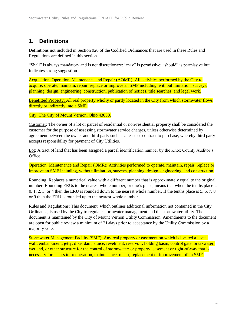#### **1. Definitions**

Definitions not included in Section 920 of the Codified Ordinances that are used in these Rules and Regulations are defined in this section.

"Shall" is always mandatory and is not discretionary; "may" is permissive; "should" is permissive but indicates strong suggestion.

Acquisition, Operation, Maintenance and Repair (AOMR): All activities performed by the City to acquire, operate, maintain, repair, replace or improve an SMF including, without limitation, surveys, planning, design, engineering, construction, publication of notices, title searches, and legal work.

Benefitted Property: All real property wholly or partly located in the City from which stormwater flows directly or indirectly into a SMF.

City: The City of Mount Vernon, Ohio 43050.

Customer: The owner of a lot or parcel of residential or non-residential property shall be considered the customer for the purpose of assessing stormwater service charges, unless otherwise determined by agreement between the owner and third party such as a lease or contract to purchase, whereby third party accepts responsibility for payment of City Utilities.

Lot: A tract of land that has been assigned a parcel identification number by the Knox County Auditor's Office.

Operation, Maintenance and Repair (OMR): Activities performed to operate, maintain, repair, replace or improve an SMF including, without limitation, surveys, planning, design, engineering, and construction.

Rounding: Replaces a numerical value with a different number that is approximately equal to the original number. Rounding ERUs to the nearest whole number, or one's place, means that when the tenths place is 0, 1, 2, 3, or 4 then the ERU is rounded down to the nearest whole number. If the tenths place is 5, 6, 7, 8 or 9 then the ERU is rounded up to the nearest whole number.

Rules and Regulations: This document, which outlines additional information not contained in the City Ordinance, is used by the City to regulate stormwater management and the stormwater utility. The document is maintained by the City of Mount Vernon Utility Commission. Amendments to the document are open for public review a minimum of 21-days prior to acceptance by the Utility Commission by a majority vote.

Stormwater Management Facility (SMF): Any real property or easement on which is located a levee, wall, embankment, jetty, dike, dam, sluice, revetment, reservoir, holding basin, control gate, breakwater, wetland, or other structure for the control of stormwater; or property, easement or right-of-way that is necessary for access to or operation, maintenance, repair, replacement or improvement of an SMF.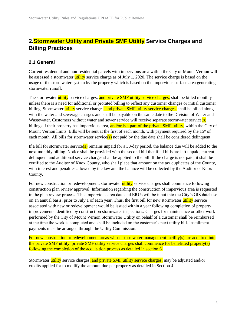#### **2.Stormwater Utility and Private SMF Utility Service Charges and Billing Practices**

#### **2.1 General**

Current residential and non-residential parcels with impervious area within the City of Mount Vernon will be assessed a stormwater utility service charge as of July 1, 2020. The service charge is based on the usage of the stormwater system by the property which is based on the impervious surface area generating stormwater runoff.

The stormwater utility service charges, and private SMF utility service charges, shall be billed monthly unless there is a need for additional or prorated billing to reflect any customer changes or initial customer billing. Stormwater utility service charges, and private SMF utility service charges, shall be billed along with the water and sewerage charges and shall be payable on the same date to the Division of Water and Wastewater. Customers without water and sewer service will receive separate stormwater service(s) billings if their property has impervious area,  $\frac{\text{and/or is a part of the private SMF utility}}{\text{with } \text{to the circuit}}$ , within the City of Mount Vernon limits. Bills will be sent at the first of each month, with payment required by the  $15<sup>th</sup>$  of each month. All bills for stormwater service( $s$ ) not paid by the due date shall be considered delinquent.

If a bill for stormwater service(s) remains unpaid for a 30-day period, the balance due will be added to the next monthly billing. Notice shall be provided with the second bill that if all bills are left unpaid, current delinquent and additional service charges shall be applied to the bill. If the charge is not paid, it shall be certified to the Auditor of Knox County, who shall place that amount on the tax duplicates of the County, with interest and penalties allowed by the law and the balance will be collected by the Auditor of Knox County.

For new construction or redevelopment, stormwater utility service charges shall commence following construction plan review approval. Information regarding the construction of impervious area is requested in the plan review process. This impervious area data and ERUs will be input into the City's GIS database on an annual basis, prior to July 1 of each year. Thus, the first bill for new stormwater utility service associated with new or redevelopment would be issued within a year following completion of property improvements identified by construction stormwater inspections. Charges for maintenance or other work performed by the City of Mount Vernon Stormwater Utility on behalf of a customer shall be reimbursed at the time the work is completed and shall be included on the customer's next utility bill. Installment payments must be arranged through the Utility Commission.

For new construction or redevelopment areas whose stormwater management facility(s) are acquired into the private SMF utility, private SMF utility service charges shall commence for benefitted property(s) following the completion of the acquisition process as detailed in section 6.

Stormwater utility service charges, and private SMF utility service charges, may be adjusted and/or credits applied for to modify the amount due per property as detailed in Section 4.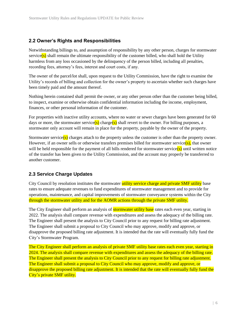#### **2.2 Owner's Rights and Responsibilities**

Notwithstanding billings to, and assumption of responsibility by any other person, charges for stormwater service(s) shall remain the ultimate responsibility of the customer billed, who shall hold the Utility harmless from any loss occasioned by the delinquency of the person billed, including all penalties, recording fees, attorney's fees, interest and court costs, if any.

The owner of the parcel/lot shall, upon request to the Utility Commission, have the right to examine the Utility's records of billing and collection for the owner's property to ascertain whether such charges have been timely paid and the amount thereof.

Nothing herein contained shall permit the owner, or any other person other than the customer being billed, to inspect, examine or otherwise obtain confidential information including the income, employment, finances, or other personal information of the customer.

For properties with inactive utility accounts, where no water or sewer charges have been generated for 60 days or more, the stormwater service(s) charge(s) shall revert to the owner. For billing purposes, a stormwater only account will remain in place for the property, payable by the owner of the property.

Stormwater service(s) charges attach to the property unless the customer is other than the property owner. However, if an owner sells or otherwise transfers premises billed for stormwater service $(s)$ , that owner will be held responsible for the payment of all bills rendered for stormwater service(s) until written notice of the transfer has been given to the Utility Commission, and the account may properly be transferred to another customer.

#### **2.3 Service Charge Updates**

City Council by resolution institutes the stormwater utility service charge and private SMF utility base rates to ensure adequate revenues to fund expenditures of stormwater management and to provide for operations, maintenance, and capital improvements of stormwater conveyance systems within the City through the stormwater utility and for the AOMR actions through the private SMF utility.

The City Engineer shall perform an analysis of **stormwater utility base** rates each even year, starting in 2022. The analysis shall compare revenue with expenditures and assess the adequacy of the billing rate. The Engineer shall present the analysis to City Council prior to any request for billing rate adjustment. The Engineer shall submit a proposal to City Council who may approve, modify and approve, or disapprove the proposed billing rate adjustment. It is intended that the rate will eventually fully fund the City's Stormwater Program.

The City Engineer shall perform an analysis of private SMF utility base rates each even year, starting in 2024. The analysis shall compare revenue with expenditures and assess the adequacy of the billing rate. The Engineer shall present the analysis to City Council prior to any request for billing rate adjustment. The Engineer shall submit a proposal to City Council who may approve, modify and approve, or disapprove the proposed billing rate adjustment. It is intended that the rate will eventually fully fund the City's private SMF utility.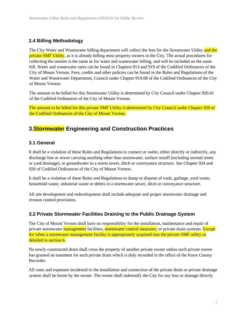#### **2.4 Billing Methodology**

The City Water and Wastewater billing department will collect the fees for the Stormwater Utility and the private SMF Utility, as it is already billing most property owners in the City. The actual procedures for collecting the monies is the same as for water and wastewater billing, and will be included on the same bill. Water and wastewater rates can be found in Chapters 913 and 919 of the Codified Ordinances of the City of Mount Vernon. Fees, credits and other policies can be found in the Rules and Regulations of the Water and Wastewater Department, Council under Chapter 919.08 of the Codified Ordinances of the City of Mount Vernon.

The amount to be billed for this Stormwater Utility is determined by City Council under Chapter 920.41 of the Codified Ordinances of the City of Mount Vernon.

The amount to be billed for this private SMF Utility is determined by City Council under Chapter 920 of the Codified Ordinances of the City of Mount Vernon.

#### **3.Stormwater Engineering and Construction Practices**

#### **3.1 General**

It shall be a violation of these Rules and Regulations to connect or outlet, either directly or indirectly, any discharge line or sewer carrying anything other than stormwater, surface runoff (including normal street or yard drainage), or groundwater to a storm sewer, ditch or conveyance structure. See Chapter 924 and 920 of Codified Ordinances of the City of Mount Vernon.

It shall be a violation of these Rules and Regulations to dump or dispose of trash, garbage, yard waste, household waste, industrial waste or debris in a stormwater sewer, ditch or conveyance structure.

All site development and redevelopment shall include adequate and proper stormwater drainage and erosion control provisions.

#### **3.2 Private Stormwater Facilities Draining to the Public Drainage System**

The City of Mount Vernon shall have no responsibility for the installation, maintenance and repair of private stormwater management facilities, stormwater control measures, or private drain systems. Except for when a stormwater management facility is appropriately acquired into the private SMF utility as detailed in section 6.

No newly constructed drain shall cross the property of another private owner unless such private owner has granted an easement for such private drain which is duly recorded in the office of the Knox County Recorder.

All costs and expenses incidental to the installation and connection of the private drain or private drainage system shall be borne by the owner. The owner shall indemnify the City for any loss or damage directly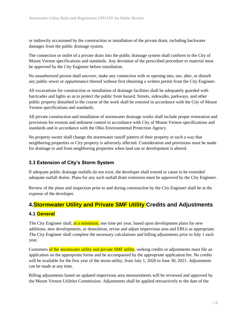or indirectly occasioned by the construction or installation of the private drain, including backwater damages from the public drainage system.

The connection or outlet of a private drain into the public drainage system shall conform to the City of Mount Vernon specifications and standards. Any deviation of the prescribed procedure or material must be approved by the City Engineer before installation.

No unauthorized person shall uncover, make any connection with or opening into, use, alter, or disturb any public sewer or appurtenance thereof without first obtaining a written permit from the City Engineer.

All excavations for construction or installation of drainage facilities shall be adequately guarded with barricades and lights so as to protect the public from hazard. Streets, sidewalks, parkways, and other public property disturbed in the course of the work shall be restored in accordance with the City of Mount Vernon specifications and standards.

All private construction and installation of stormwater drainage works shall include proper restoration and provisions for erosion and sediment control in accordance with City of Mount Vernon specifications and standards and in accordance with the Ohio Environmental Protection Agency.

No property owner shall change the stormwater runoff pattern of their property in such a way that neighboring properties or City property is adversely affected. Consideration and provisions must be made for drainage to and from neighboring properties when land use or development is altered.

#### **3.3 Extension of City's Storm System**

If adequate public drainage outfalls do not exist, the developer shall extend or cause to be extended adequate outfall drains. Plans for any such outfall drain extension must be approved by the City Engineer.

Review of the plans and inspection prior to and during construction by the City Engineer shall be at the expense of the developer.

#### **4.Stormwater Utility and Private SMF Utility Credits and Adjustments**

#### **4.1 General**

The City Engineer shall, at a minimum, one time per year, based upon development plans for new additions, new developments, or demolition, revise and adjust impervious area and ERUs as appropriate. The City Engineer shall complete the necessary calculations and billing adjustments prior to July 1 each year.

Customers of the stormwater utility and private SMF utility, seeking credits or adjustments must file an application on the appropriate forms and be accompanied by the appropriate application fee. No credits will be available for the first year of the storm utility, from July 1, 2020 to June 30, 2021. Adjustments can be made at any time.

Billing adjustments based on updated impervious area measurements will be reviewed and approved by the Mount Vernon Utilities Commission. Adjustments shall be applied retroactively to the date of the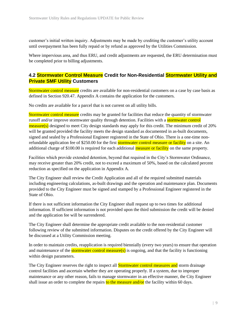customer's initial written inquiry. Adjustments may be made by crediting the customer's utility account until overpayment has been fully repaid or by refund as approved by the Utilities Commission.

Where impervious area, and thus ERU, and credit adjustments are requested, the ERU determination must be completed prior to billing adjustments.

#### **4.2 Stormwater Control Measure Credit for Non-Residential Stormwater Utility and Private SMF Utility Customers**

Stormwater control measure credits are available for non-residential customers on a case by case basis as defined in Section 920.47. Appendix A contains the application for the customers.

No credits are available for a parcel that is not current on all utility bills.

Stormwater control measure credits may be granted for facilities that reduce the quantity of stormwater runoff and/or improve stormwater quality through detention. Facilities with a stormwater control measure(s) designed to meet City design standards may apply for this credit. The minimum credit of 20% will be granted provided the facility meets the design standard as documented in as-built documents, signed and sealed by a Professional Engineer registered in the State of Ohio. There is a one-time nonrefundable application fee of \$250.00 for the first **stormwater control measure or facility** on a site. An additional charge of \$100.00 is required for each additional measure or facility on the same property.

Facilities which provide extended detention, beyond that required in the City's Stormwater Ordinance, may receive greater than 20% credit, not to exceed a maximum of 50%, based on the calculated percent reduction as specified on the application in Appendix A.

The City Engineer shall review the Credit Application and all of the required submitted materials including engineering calculations, as-built drawings and the operation and maintenance plan. Documents provided to the City Engineer must be signed and stamped by a Professional Engineer registered in the State of Ohio.

If there is not sufficient information the City Engineer shall request up to two times for additional information. If sufficient information is not provided upon the third submission the credit will be denied and the application fee will be surrendered.

The City Engineer shall determine the appropriate credit available to the non-residential customer following review of the submitted information. Disputes on the credit offered by the City Engineer will be discussed at a Utility Commission meeting.

In order to maintain credits, reapplication is required biennially (every two years) to ensure that operation and maintenance of the **stormwater control measure(s)** is ongoing, and that the facility is functioning within design parameters.

The City Engineer reserves the right to inspect all **Stormwater control measures and** storm drainage control facilities and ascertain whether they are operating properly. If a system, due to improper maintenance or any other reason, fails to manage stormwater in an effective manner, the City Engineer shall issue an order to complete the repairs to the measure and/or the facility within 60 days.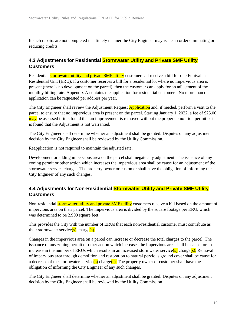If such repairs are not completed in a timely manner the City Engineer may issue an order eliminating or reducing credits.

#### **4.3 Adjustments for Residential Stormwater Utility and Private SMF Utility Customers**

Residential **stormwater utility and private SMF utility** customers all receive a bill for one Equivalent Residential Unit (ERU). If a customer receives a bill for a residential lot where no impervious area is present (there is no development on the parcel), then the customer can apply for an adjustment of the monthly billing rate. Appendix A contains the application for residential customers. No more than one application can be requested per address per year.

The City Engineer shall review the Adjustment Request **Application** and, if needed, perform a visit to the parcel to ensure that no impervious area is present on the parcel. Starting January 1, 2022, a fee of \$25.00 may be assessed if it is found that an improvement is removed without the proper demolition permit or it is found that the Adjustment is not warranted.

The City Engineer shall determine whether an adjustment shall be granted. Disputes on any adjustment decision by the City Engineer shall be reviewed by the Utility Commission.

Reapplication is not required to maintain the adjusted rate.

Development or adding impervious area on the parcel shall negate any adjustment. The issuance of any zoning permit or other action which increases the impervious area shall be cause for an adjustment of the stormwater service charges. The property owner or customer shall have the obligation of informing the City Engineer of any such changes.

#### **4.4 Adjustments for Non-Residential Stormwater Utility and Private SMF Utility Customers**

Non-residential **stormwater utility and private SMF utility** customers receive a bill based on the amount of impervious area on their parcel. The impervious area is divided by the square footage per ERU, which was determined to be 2,900 square feet.

This provides the City with the number of ERUs that each non-residential customer must contribute as their stormwater service(s) charge(s).

Changes in the impervious area on a parcel can increase or decrease the total charges to the parcel. The issuance of any zoning permit or other action which increases the impervious area shall be cause for an increase in the number of ERUs which results in an increased stormwater service(s) charge(s). Removal of impervious area through demolition and restoration to natural pervious ground cover shall be cause for a decrease of the stormwater service(s) charge(s). The property owner or customer shall have the obligation of informing the City Engineer of any such changes.

The City Engineer shall determine whether an adjustment shall be granted. Disputes on any adjustment decision by the City Engineer shall be reviewed by the Utility Commission.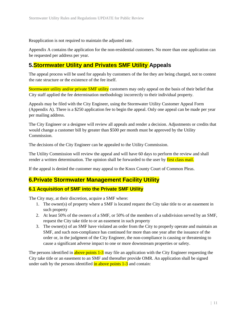Reapplication is not required to maintain the adjusted rate.

Appendix A contains the application for the non-residential customers. No more than one application can be requested per address per year.

#### **5.Stormwater Utility and Privates SMF Utility Appeals**

The appeal process will be used for appeals by customers of the fee they are being charged, not to contest the rate structure or the existence of the fee itself.

Stormwater utility and/or private SMF utility customers may only appeal on the basis of their belief that City staff applied the fee determination methodology incorrectly to their individual property.

Appeals may be filed with the City Engineer, using the Stormwater Utility Customer Appeal Form (Appendix A). There is a \$250 application fee to begin the appeal. Only one appeal can be made per year per mailing address.

The City Engineer or a designee will review all appeals and render a decision. Adjustments or credits that would change a customer bill by greater than \$500 per month must be approved by the Utility Commission.

The decisions of the City Engineer can be appealed to the Utility Commission.

The Utility Commission will review the appeal and will have 60 days to perform the review and shall render a written determination. The opinion shall be forwarded to the user by first class mail.

If the appeal is denied the customer may appeal to the Knox County Court of Common Pleas.

#### **6.Private Stormwater Management Facility Utility**

#### **6.1 Acquisition of SMF into the Private SMF Utility**

The City may, at their discretion, acquire a SMF where:

- 1. The owner(s) of property where a SMF is located request the City take title to or an easement in such property
- 2. At least 50% of the owners of a SMF, or 50% of the members of a subdivision served by an SMF, request the City take title to or an easement in such property
- 3. The owner(s) of an SMF have violated an order from the City to properly operate and maintain an SMF, and such non-compliance has continued for more than one year after the issuance of the order or, in the judgment of the City Engineer, the non-compliance is causing or threatening to cause a significant adverse impact to one or more downstream properties or safety.

The persons identified in above points 1-3 may file an application with the City Engineer requesting the City take title or an easement to an SMF and thereafter provide OMR. An application shall be signed under oath by the persons identified  $\frac{1}{2}$  and  $\frac{1}{3}$  and contain: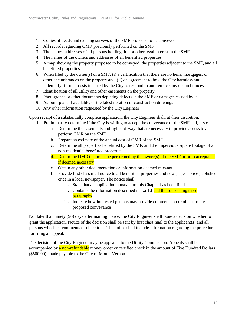- 1. Copies of deeds and existing surveys of the SMF proposed to be conveyed
- 2. All records regarding OMR previously performed on the SMF
- 3. The names, addresses of all persons holding title or other legal interest in the SMF
- 4. The names of the owners and addresses of all benefitted properties
- 5. A map showing the property proposed to be conveyed, the properties adjacent to the SMF, and all benefitted properties
- 6. When filed by the owner(s) of a SMF, (i) a certification that there are no liens, mortgages, or other encumbrances on the property and, (ii) an agreement to hold the City harmless and indemnify it for all costs incurred by the City to respond to and remove any encumbrances
- 7. Identification of all utility and other easements on the property
- 8. Photographs or other documents depicting defects in the SMF or damages caused by it
- 9. As-built plans if available, or the latest iteration of construction drawings
- 10. Any other information requested by the City Engineer

Upon receipt of a substantially complete application, the City Engineer shall, at their discretion:

- 1. Preliminarily determine if the City is willing to accept the conveyance of the SMF and, if so:
	- a. Determine the easements and rights-of-way that are necessary to provide access to and perform OMR on the SMF
	- b. Prepare an estimate of the annual cost of OMR of the SMF
	- c. Determine all properties benefitted by the SMF, and the impervious square footage of all non-residential benefitted properties
	- d. Determine OMR that must be performed by the owner(s) of the SMF prior to acceptance if deemed necessary
	- e. Obtain any other documentation or information deemed relevant
	- f. Provide first class mail notice to all benefitted properties and newspaper notice published once in a local newspaper. The notice shall:
		- i. State that an application pursuant to this Chapter has been filed
		- ii. Contains the information described in  $1.a-1.f$  and the succeeding three paragraphs
		- iii. Indicate how interested persons may provide comments on or object to the proposed conveyance

Not later than ninety (90) days after mailing notice, the City Engineer shall issue a decision whether to grant the application. Notice of the decision shall be sent by first class mail to the applicant(s) and all persons who filed comments or objections. The notice shall include information regarding the procedure for filing an appeal.

The decision of the City Engineer may be appealed to the Utility Commission. Appeals shall be accompanied by a non-refundable money order or certified check in the amount of Five Hundred Dollars (\$500.00), made payable to the City of Mount Vernon.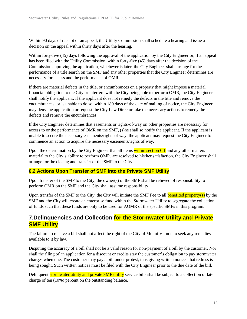Within 90 days of receipt of an appeal, the Utility Commission shall schedule a hearing and issue a decision on the appeal within thirty days after the hearing.

Within forty-five (45) days following the approval of the application by the City Engineer or, if an appeal has been filed with the Utility Commission, within forty-five (45) days after the decision of the Commission approving the application, whichever is later, the City Engineer shall arrange for the performance of a title search on the SMF and any other properties that the City Engineer determines are necessary for access and the performance of OMR.

If there are material defects in the title, or encumbrances on a property that might impose a material financial obligation to the City or interfere with the City being able to perform OMR, the City Engineer shall notify the applicant. If the applicant does not remedy the defects in the title and remove the encumbrances, or is unable to do so, within 180 days of the date of mailing of notice, the City Engineer may deny the application or request the City Law Director take the necessary actions to remedy the defects and remove the encumbrances.

If the City Engineer determines that easements or rights-of-way on other properties are necessary for access to or the performance of OMR on the SMF, (s)he shall so notify the applicant. If the applicant is unable to secure the necessary easements/rights of way, the applicant may request the City Engineer to commence an action to acquire the necessary easements/rights of way.

Upon the determination by the City Engineer that all items within section 6.1 and any other matters material to the City's ability to perform OMR, are resolved to his/her satisfaction, the City Engineer shall arrange for the closing and transfer of the SMF to the City.

#### **6.2 Actions Upon Transfer of SMF into the Private SMF Utility**

Upon transfer of the SMF to the City, the owner(s) of the SMF shall be relieved of responsibility to perform OMR on the SMF and the City shall assume responsibility.

Upon transfer of the SMF to the City, the City will initiate the SMF Fee to all **benefited property(s)** by the SMF and the City will create an enterprise fund within the Stormwater Utility to segregate the collection of funds such that these funds are only to be used for AOMR of the specific SMFs in this program.

#### **7.Delinquencies and Collection for the Stormwater Utility and Private SMF Utility**

The failure to receive a bill shall not affect the right of the City of Mount Vernon to seek any remedies available to it by law.

Disputing the accuracy of a bill shall not be a valid reason for non-payment of a bill by the customer. Nor shall the filing of an application for a discount or credits stay the customer's obligation to pay stormwater charges when due. The customer may pay a bill under protest, thus giving written notices that redress is being sought. Such written notices must be filed with the City Engineer prior to the due date of the bill.

Delinquent stormwater utility and private SMF utility service bills shall be subject to a collection or late charge of ten (10%) percent on the outstanding balance.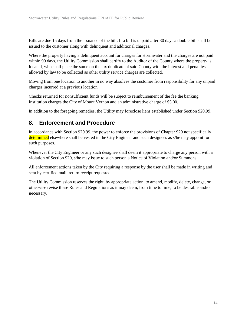Bills are due 15 days from the issuance of the bill. If a bill is unpaid after 30 days a double bill shall be issued to the customer along with delinquent and additional charges.

Where the property having a delinquent account for charges for stormwater and the charges are not paid within 90 days, the Utility Commission shall certify to the Auditor of the County where the property is located, who shall place the same on the tax duplicate of said County with the interest and penalties allowed by law to be collected as other utility service charges are collected.

Moving from one location to another in no way absolves the customer from responsibility for any unpaid charges incurred at a previous location.

Checks returned for nonsufficient funds will be subject to reimbursement of the fee the banking institution charges the City of Mount Vernon and an administrative charge of \$5.00.

In addition to the foregoing remedies, the Utility may foreclose liens established under Section 920.99.

#### **8. Enforcement and Procedure**

In accordance with Section 920.99, the power to enforce the provisions of Chapter 920 not specifically determined elsewhere shall be vested in the City Engineer and such designees as s/he may appoint for such purposes.

Whenever the City Engineer or any such designee shall deem it appropriate to charge any person with a violation of Section 920, s/he may issue to such person a Notice of Violation and/or Summons.

All enforcement actions taken by the City requiring a response by the user shall be made in writing and sent by certified mail, return receipt requested.

The Utility Commission reserves the right, by appropriate action, to amend, modify, delete, change, or otherwise revise these Rules and Regulations as it may deem, from time to time, to be desirable and/or necessary.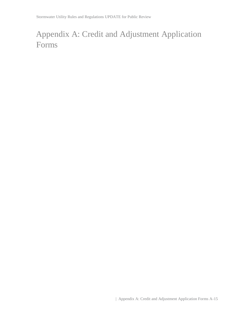# Appendix A: Credit and Adjustment Application Forms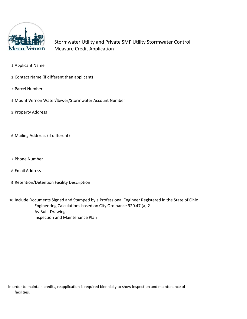

Stormwater Utility and Private SMF Utility Stormwater Control Measure Credit Application

- 1 Applicant Name
- 2 Contact Name (if different than applicant)
- 3 Parcel Number
- 4 Mount Vernon Water/Sewer/Stormwater Account Number
- 5 Property Address
- 6 Mailing Addrress (if different)
- 7 Phone Number
- 8 Email Address
- 9 Retention/Detention Facility Description

10 Include Documents Signed and Stamped by a Professional Engineer Registered in the State of Ohio Engineering Calculations based on City Ordinance 920.47 (a) 2 As-Built Drawings Inspection and Maintenance Plan

In order to maintain credits, reapplication is required biennially to show inspection and maintenance of facilities.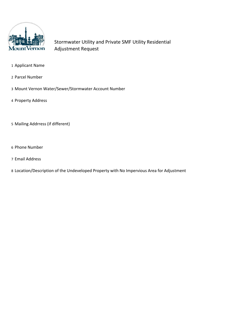

Stormwater Utility and Private SMF Utility Residential Adjustment Request

- Applicant Name
- Parcel Number
- Mount Vernon Water/Sewer/Stormwater Account Number
- Property Address
- Mailing Addrress (if different)
- Phone Number
- Email Address
- Location/Description of the Undeveloped Property with No Impervious Area for Adjustment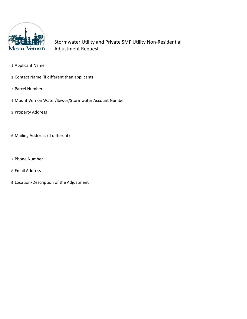

Stormwater Utility and Private SMF Utility Non-Residential Adjustment Request

- Applicant Name
- Contact Name (if different than applicant)
- Parcel Number
- Mount Vernon Water/Sewer/Stormwater Account Number
- Property Address
- Mailing Addrress (if different)
- Phone Number
- Email Address
- Location/Description of the Adjustment